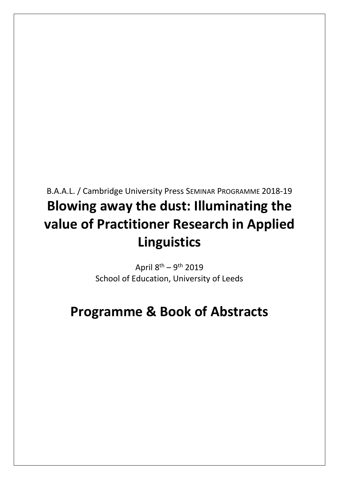# B.A.A.L. / Cambridge University Press SEMINAR PROGRAMME 2018-19 **Blowing away the dust: Illuminating the value of Practitioner Research in Applied Linguistics**

April 8<sup>th</sup> – 9<sup>th</sup> 2019 School of Education, University of Leeds

# **Programme & Book of Abstracts**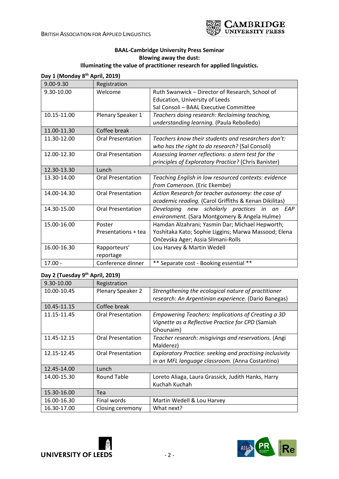

# **BAAL-Cambridge University Press Seminar Blowing away the dust:**

# **Illuminating the value of practitioner research for applied linguistics. Day 1 (Monday 8th April, 2019)**

| 9.00-9.30   | Registration             |                                                       |
|-------------|--------------------------|-------------------------------------------------------|
| 9.30-10.00  | Welcome                  | Ruth Swanwick - Director of Research, School of       |
|             |                          | Education, University of Leeds                        |
|             |                          | Sal Consoli - BAAL Executive Committee                |
| 10.15-11.00 | Plenary Speaker 1        | Teachers doing research: Reclaiming teaching,         |
|             |                          | understanding learning. (Paula Rebolledo)             |
| 11.00-11.30 | Coffee break             |                                                       |
| 11.30-12.00 | <b>Oral Presentation</b> | Teachers know their students and researchers don't:   |
|             |                          | who has the right to do research? (Sal Consoli)       |
| 12.00-12.30 | <b>Oral Presentation</b> | Assessing learner reflections: a stern test for the   |
|             |                          | principles of Exploratory Practice? (Chris Banister)  |
| 12.30-13.30 | Lunch                    |                                                       |
| 13.30-14.00 | <b>Oral Presentation</b> | Teaching English in low resourced contexts: evidence  |
|             |                          | from Cameroon. (Eric Ekembe)                          |
| 14.00-14.30 | <b>Oral Presentation</b> | Action Research for teacher autonomy: the case of     |
|             |                          | academic reading. (Carol Griffiths & Kenan Dikilitas) |
| 14.30-15.00 | <b>Oral Presentation</b> | Developing new scholarly practices in an<br>EAP       |
|             |                          | environment. (Sara Montgomery & Angela Hulme)         |
| 15.00-16.00 | Poster                   | Hamdan Alzahrani; Yasmin Dar; Michael Hepworth;       |
|             | Presentations + tea      | Yoshitaka Kato; Sophie Liggins; Marwa Massood; Elena  |
|             |                          | Ončevska Ager; Assia Slimani-Rolls                    |
| 16.00-16.30 | Rapporteurs'             | Lou Harvey & Martin Wedell                            |
|             | reportage                |                                                       |
| $17.00 -$   | Conference dinner        | ** Separate cost - Booking essential<br>$***$         |

### **Day 2 (Tuesday 9th April, 2019)**

| 9.30-10.00  | Registration             |                                                                                                                      |  |
|-------------|--------------------------|----------------------------------------------------------------------------------------------------------------------|--|
| 10.00-10.45 | Plenary Speaker 2        | Strengthening the ecological nature of practitioner                                                                  |  |
|             |                          | research: An Argentinian experience. (Dario Banegas)                                                                 |  |
| 10.45-11.15 | Coffee break             |                                                                                                                      |  |
| 11.15-11.45 | <b>Oral Presentation</b> | Empowering Teachers: Implications of Creating a 3D<br>Vignette as a Reflective Practice for CPD (Samiah<br>Ghounaim) |  |
| 11.45-12.15 | <b>Oral Presentation</b> | Teacher research: misgivings and reservations. (Angi<br>Malderez)                                                    |  |
| 12.15-12.45 | <b>Oral Presentation</b> | <b>Exploratory Practice: seeking and practising inclusivity</b><br>in an MFL language classroom. (Anna Costantino)   |  |
| 12.45-14.00 | Lunch                    |                                                                                                                      |  |
| 14.00-15.30 | Round Table              | Loreto Aliaga, Laura Grassick, Judith Hanks, Harry<br>Kuchah Kuchah                                                  |  |
| 15.30-16.00 | Tea                      |                                                                                                                      |  |
| 16.00-16.30 | Final words              | Martin Wedell & Lou Harvey                                                                                           |  |
| 16.30-17.00 | Closing ceremony         | What next?                                                                                                           |  |



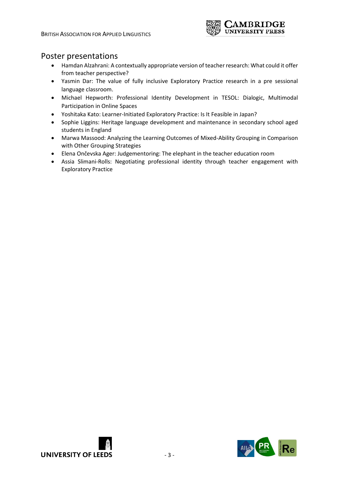

# Poster presentations

- Hamdan Alzahrani: A contextually appropriate version of teacher research: What could it offer from teacher perspective?
- Yasmin Dar: The value of fully inclusive Exploratory Practice research in a pre sessional language classroom.
- Michael Hepworth: Professional Identity Development in TESOL: Dialogic, Multimodal Participation in Online Spaces
- Yoshitaka Kato: Learner-Initiated Exploratory Practice: Is It Feasible in Japan?
- Sophie Liggins: Heritage language development and maintenance in secondary school aged students in England
- Marwa Massood: Analyzing the Learning Outcomes of Mixed-Ability Grouping in Comparison with Other Grouping Strategies
- Elena Ončevska Ager: Judgementoring: The elephant in the teacher education room
- Assia Slimani-Rolls: Negotiating professional identity through teacher engagement with Exploratory Practice



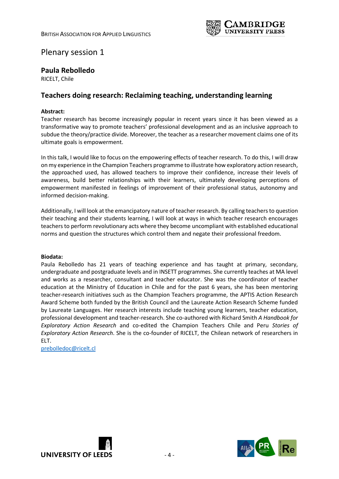

# Plenary session 1

### **Paula Rebolledo**

RICELT, Chile

# **Teachers doing research: Reclaiming teaching, understanding learning**

### **Abstract:**

Teacher research has become increasingly popular in recent years since it has been viewed as a transformative way to promote teachers' professional development and as an inclusive approach to subdue the theory/practice divide. Moreover, the teacher as a researcher movement claims one of its ultimate goals is empowerment.

In this talk, I would like to focus on the empowering effects of teacher research. To do this, I will draw on my experience in the Champion Teachers programme to illustrate how exploratory action research, the approached used, has allowed teachers to improve their confidence, increase their levels of awareness, build better relationships with their learners, ultimately developing perceptions of empowerment manifested in feelings of improvement of their professional status, autonomy and informed decision-making.

Additionally, I will look at the emancipatory nature of teacher research. By calling teachers to question their teaching and their students learning, I will look at ways in which teacher research encourages teachers to perform revolutionary acts where they become uncompliant with established educational norms and question the structures which control them and negate their professional freedom.

#### **Biodata:**

Paula Rebolledo has 21 years of teaching experience and has taught at primary, secondary, undergraduate and postgraduate levels and in INSETT programmes. She currently teaches at MA level and works as a researcher, consultant and teacher educator. She was the coordinator of teacher education at the Ministry of Education in Chile and for the past 6 years, she has been mentoring teacher-research initiatives such as the Champion Teachers programme, the APTIS Action Research Award Scheme both funded by the British Council and the Laureate Action Research Scheme funded by Laureate Languages. Her research interests include teaching young learners, teacher education, professional development and teacher-research. She co-authored with Richard Smith *A Handbook for Exploratory Action Research* and co-edited the Champion Teachers Chile and Peru *Stories of Exploratory Action Research*. She is the co-founder of RICELT, the Chilean network of researchers in ELT.

[prebolledoc@ricelt.cl](mailto:prebolledoc@ricelt.cl)



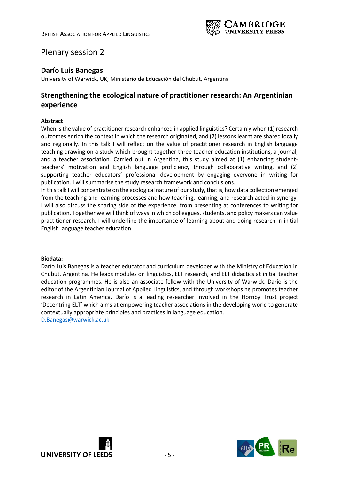

# Plenary session 2

### **Darío Luis Banegas**

University of Warwick, UK; Ministerio de Educación del Chubut, Argentina

# **Strengthening the ecological nature of practitioner research: An Argentinian experience**

### **Abstract**

When is the value of practitioner research enhanced in applied linguistics? Certainly when (1) research outcomes enrich the context in which the research originated, and (2) lessons learnt are shared locally and regionally. In this talk I will reflect on the value of practitioner research in English language teaching drawing on a study which brought together three teacher education institutions, a journal, and a teacher association. Carried out in Argentina, this study aimed at (1) enhancing studentteachers' motivation and English language proficiency through collaborative writing, and (2) supporting teacher educators' professional development by engaging everyone in writing for publication. I will summarise the study research framework and conclusions.

In this talk I will concentrate on the ecological nature of our study, that is, how data collection emerged from the teaching and learning processes and how teaching, learning, and research acted in synergy. I will also discuss the sharing side of the experience, from presenting at conferences to writing for publication. Together we will think of ways in which colleagues, students, and policy makers can value practitioner research. I will underline the importance of learning about and doing research in initial English language teacher education.

#### **Biodata:**

Darío Luis Banegas is a teacher educator and curriculum developer with the Ministry of Education in Chubut, Argentina. He leads modules on linguistics, ELT research, and ELT didactics at initial teacher education programmes. He is also an associate fellow with the University of Warwick. Darío is the editor of the Argentinian Journal of Applied Linguistics, and through workshops he promotes teacher research in Latin America. Darío is a leading researcher involved in the Hornby Trust project 'Decentring ELT' which aims at empowering teacher associations in the developing world to generate contextually appropriate principles and practices in language education.

[D.Banegas@warwick.ac.uk](mailto:D.Banegas@warwick.ac.uk)



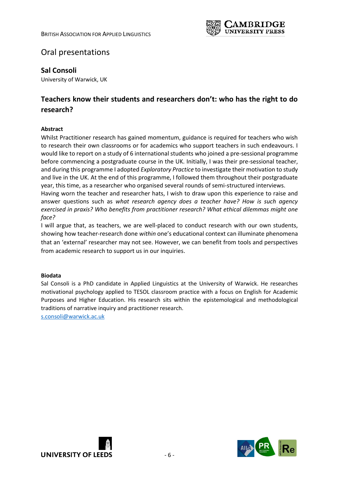

# Oral presentations

### **Sal Consoli**

University of Warwick, UK

# **Teachers know their students and researchers don't: who has the right to do research?**

### **Abstract**

Whilst Practitioner research has gained momentum, guidance is required for teachers who wish to research their own classrooms or for academics who support teachers in such endeavours. I would like to report on a study of 6 international students who joined a pre-sessional programme before commencing a postgraduate course in the UK. Initially, I was their pre-sessional teacher, and during this programme I adopted *Exploratory Practice* to investigate their motivation to study and live in the UK. At the end of this programme, I followed them throughout their postgraduate year, this time, as a researcher who organised several rounds of semi-structured interviews. Having worn the teacher and researcher hats, I wish to draw upon this experience to raise and

answer questions such as *what research agency does a teacher have? How is such agency exercised in praxis? Who benefits from practitioner research? What ethical dilemmas might one face?* 

I will argue that, as teachers, we are well-placed to conduct research with our own students, showing how teacher-research done *within* one's educational context can illuminate phenomena that an 'external' researcher may not see. However, we can benefit from tools and perspectives from academic research to support us in our inquiries.

### **Biodata**

Sal Consoli is a PhD candidate in Applied Linguistics at the University of Warwick. He researches motivational psychology applied to TESOL classroom practice with a focus on English for Academic Purposes and Higher Education. His research sits within the epistemological and methodological traditions of narrative inquiry and practitioner research.

[s.consoli@warwick.ac.uk](mailto:s.consoli@warwick.ac.uk)



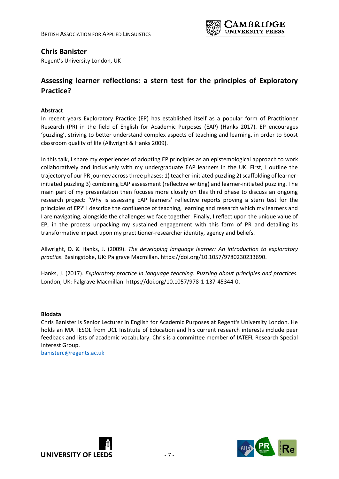

### **Chris Banister**

Regent's University London, UK

# **Assessing learner reflections: a stern test for the principles of Exploratory Practice?**

### **Abstract**

In recent years Exploratory Practice (EP) has established itself as a popular form of Practitioner Research (PR) in the field of English for Academic Purposes (EAP) (Hanks 2017). EP encourages 'puzzling', striving to better understand complex aspects of teaching and learning, in order to boost classroom quality of life (Allwright & Hanks 2009).

In this talk, I share my experiences of adopting EP principles as an epistemological approach to work collaboratively and inclusively with my undergraduate EAP learners in the UK. First, I outline the trajectory of our PR journey across three phases: 1) teacher-initiated puzzling 2) scaffolding of learnerinitiated puzzling 3) combining EAP assessment (reflective writing) and learner-initiated puzzling. The main part of my presentation then focuses more closely on this third phase to discuss an ongoing research project: 'Why is assessing EAP learners' reflective reports proving a stern test for the principles of EP?' I describe the confluence of teaching, learning and research which my learners and I are navigating, alongside the challenges we face together. Finally, I reflect upon the unique value of EP, in the process unpacking my sustained engagement with this form of PR and detailing its transformative impact upon my practitioner-researcher identity, agency and beliefs.

Allwright, D. & Hanks, J. (2009). *The developing language learner: An introduction to exploratory practice.* Basingstoke, UK: Palgrave Macmillan. https://doi.org/10.1057/9780230233690.

Hanks, J. (2017). *Exploratory practice in language teaching: Puzzling about principles and practices.* London, UK: Palgrave Macmillan. https://doi.org/10.1057/978-1-137-45344-0.

### **Biodata**

Chris Banister is Senior Lecturer in English for Academic Purposes at Regent's University London. He holds an MA TESOL from UCL Institute of Education and his current research interests include peer feedback and lists of academic vocabulary. Chris is a committee member of IATEFL Research Special Interest Group.

[banisterc@regents.ac.uk](mailto:banisterc@regents.ac.uk)



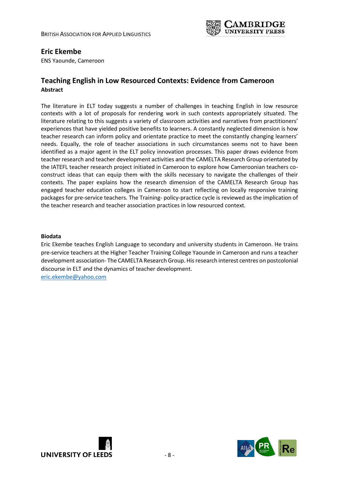

### **Eric Ekembe**

ENS Yaounde, Cameroon

### **Teaching English in Low Resourced Contexts: Evidence from Cameroon Abstract**

The literature in ELT today suggests a number of challenges in teaching English in low resource contexts with a lot of proposals for rendering work in such contexts appropriately situated. The literature relating to this suggests a variety of classroom activities and narratives from practitioners' experiences that have yielded positive benefits to learners. A constantly neglected dimension is how teacher research can inform policy and orientate practice to meet the constantly changing learners' needs. Equally, the role of teacher associations in such circumstances seems not to have been identified as a major agent in the ELT policy innovation processes. This paper draws evidence from teacher research and teacher development activities and the CAMELTA Research Group orientated by the IATEFL teacher research project initiated in Cameroon to explore how Cameroonian teachers coconstruct ideas that can equip them with the skills necessary to navigate the challenges of their contexts. The paper explains how the research dimension of the CAMELTA Research Group has engaged teacher education colleges in Cameroon to start reflecting on locally responsive training packages for pre-service teachers. The Training- policy-practice cycle is reviewed as the implication of the teacher research and teacher association practices in low resourced context.

#### **Biodata**

Eric Ekembe teaches English Language to secondary and university students in Cameroon. He trains pre-service teachers at the Higher Teacher Training College Yaounde in Cameroon and runs a teacher development association- The CAMELTA Research Group. His research interest centres on postcolonial discourse in ELT and the dynamics of teacher development. [eric.ekembe@yahoo.com](mailto:eric.ekembe@yahoo.com)



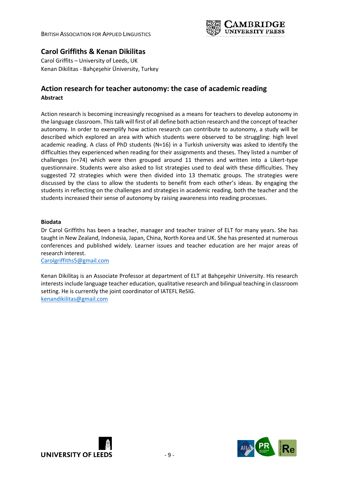BRITISH ASSOCIATION FOR APPLIED LINGUISTICS



# **Carol Griffiths & Kenan Dikilitas**

Carol Griffits – University of Leeds, UK Kenan Dikilitas - Bahçeşehir Üniversity, Turkey

### **Action research for teacher autonomy: the case of academic reading Abstract**

Action research is becoming increasingly recognised as a means for teachers to develop autonomy in the language classroom. This talk will first of all define both action research and the concept of teacher autonomy. In order to exemplify how action research can contribute to autonomy, a study will be described which explored an area with which students were observed to be struggling: high level academic reading. A class of PhD students (N=16) in a Turkish university was asked to identify the difficulties they experienced when reading for their assignments and theses. They listed a number of challenges (n=74) which were then grouped around 11 themes and written into a Likert-type questionnaire. Students were also asked to list strategies used to deal with these difficulties. They suggested 72 strategies which were then divided into 13 thematic groups. The strategies were discussed by the class to allow the students to benefit from each other's ideas. By engaging the students in reflecting on the challenges and strategies in academic reading, both the teacher and the students increased their sense of autonomy by raising awareness into reading processes.

#### **Biodata**

Dr Carol Griffiths has been a teacher, manager and teacher trainer of ELT for many years. She has taught in New Zealand, Indonesia, Japan, China, North Korea and UK. She has presented at numerous conferences and published widely. Learner issues and teacher education are her major areas of research interest.

[Carolgriffiths5@gmail.com](mailto:Carolgriffiths5@gmail.com)

Kenan Dikilitaş is an Associate Professor at department of ELT at Bahçeşehir University. His research interests include language teacher education, qualitative research and bilingual teaching in classroom setting. He is currently the joint coordinator of IATEFL ReSIG. [kenandikilitas@gmail.com](mailto:kenandikilitas@gmail.com)



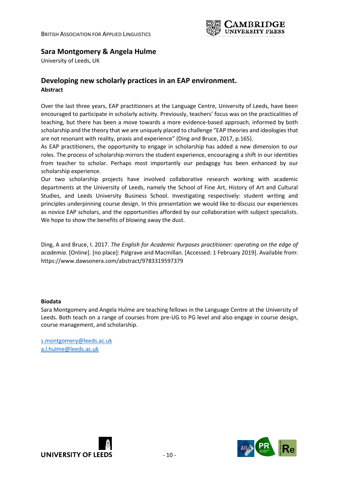

# **Sara Montgomery & Angela Hulme**

University of Leeds, UK

## **Developing new scholarly practices in an EAP environment. Abstract**

Over the last three years, EAP practitioners at the Language Centre, University of Leeds, have been encouraged to participate in scholarly activity. Previously, teachers' focus was on the practicalities of teaching, but there has been a move towards a more evidence-based approach, informed by both scholarship and the theory that we are uniquely placed to challenge "EAP theories and ideologies that are not resonant with reality, praxis and experience" (Ding and Bruce, 2017, p.165).

As EAP practitioners, the opportunity to engage in scholarship has added a new dimension to our roles. The process of scholarship mirrors the student experience, encouraging a shift in our identities from teacher to scholar. Perhaps most importantly our pedagogy has been enhanced by our scholarship experience.

Our two scholarship projects have involved collaborative research working with academic departments at the University of Leeds, namely the School of Fine Art, History of Art and Cultural Studies, and Leeds University Business School. Investigating respectively: student writing and principles underpinning course design. In this presentation we would like to discuss our experiences as novice EAP scholars, and the opportunities afforded by our collaboration with subject specialists. We hope to show the benefits of blowing away the dust.

Ding, A and Bruce, I. 2017. *The English for Academic Purposes practitioner: operating on the edge of academia*. [Online]. [no place]: Palgrave and Macmillan. [Accessed: 1 February 2019]. Available from: https://www.dawsonera.com/abstract/9783319597379

#### **Biodata**

Sara Montgomery and Angela Hulme are teaching fellows in the Language Centre at the University of Leeds. Both teach on a range of courses from pre-UG to PG level and also engage in course design, course management, and scholarship.

s.montgomery@leeds.ac.uk [a.l.hulme@leeds.ac.uk](mailto:a.l.hulme@leeds.ac.uk)



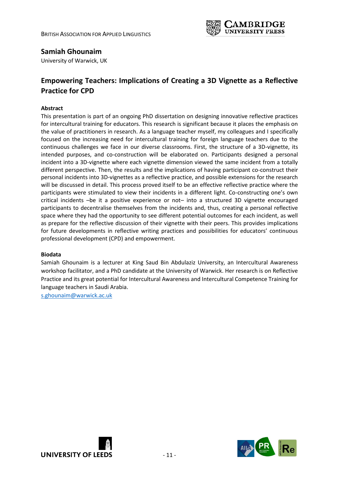

## **Samiah Ghounaim**

University of Warwick, UK

# **Empowering Teachers: Implications of Creating a 3D Vignette as a Reflective Practice for CPD**

### **Abstract**

This presentation is part of an ongoing PhD dissertation on designing innovative reflective practices for intercultural training for educators. This research is significant because it places the emphasis on the value of practitioners in research. As a language teacher myself, my colleagues and I specifically focused on the increasing need for intercultural training for foreign language teachers due to the continuous challenges we face in our diverse classrooms. First, the structure of a 3D-vignette, its intended purposes, and co-construction will be elaborated on. Participants designed a personal incident into a 3D-vignette where each vignette dimension viewed the same incident from a totally different perspective. Then, the results and the implications of having participant co-construct their personal incidents into 3D-vignettes as a reflective practice, and possible extensions for the research will be discussed in detail. This process proved itself to be an effective reflective practice where the participants were stimulated to view their incidents in a different light. Co-constructing one's own critical incidents –be it a positive experience or not– into a structured 3D vignette encouraged participants to decentralise themselves from the incidents and, thus, creating a personal reflective space where they had the opportunity to see different potential outcomes for each incident, as well as prepare for the reflective discussion of their vignette with their peers. This provides implications for future developments in reflective writing practices and possibilities for educators' continuous professional development (CPD) and empowerment.

### **Biodata**

Samiah Ghounaim is a lecturer at King Saud Bin Abdulaziz University, an Intercultural Awareness workshop facilitator, and a PhD candidate at the University of Warwick. Her research is on Reflective Practice and its great potential for Intercultural Awareness and Intercultural Competence Training for language teachers in Saudi Arabia.

[s.ghounaim@warwick.ac.uk](mailto:S.GHOUNAIM@WARWICK.AC.UK)



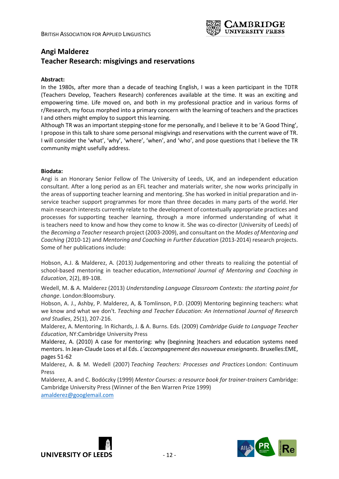

# **Angi Malderez Teacher Research: misgivings and reservations**

#### **Abstract:**

In the 1980s, after more than a decade of teaching English, I was a keen participant in the TDTR (Teachers Develop, Teachers Research) conferences available at the time. It was an exciting and empowering time. Life moved on, and both in my professional practice and in various forms of r/Research, my focus morphed into a primary concern with the learning of teachers and the practices I and others might employ to support this learning.

Although TR was an important stepping-stone for me personally, and I believe it to be 'A Good Thing', I propose in this talk to share some personal misgivings and reservations with the current wave of TR. I will consider the 'what', 'why', 'where', 'when', and 'who', and pose questions that I believe the TR community might usefully address.

#### **Biodata:**

Angi is an Honorary Senior Fellow of The University of Leeds, UK, and an independent education consultant. After a long period as an EFL teacher and materials writer, she now works principally in the areas of supporting teacher learning and mentoring. She has worked in initial preparation and inservice teacher support programmes for more than three decades in many parts of the world. Her main research interests currently relate to the development of contextually appropriate practices and processes for supporting teacher learning, through a more informed understanding of what it is teachers need to know and how they come to know it. She was co-director (University of Leeds) of the *Becoming a Teacher* research project (2003-2009), and consultant on the *Modes of Mentoring and Coaching* (2010-12) and *Mentoring and Coaching in Further Education* (2013-2014) research projects. Some of her publications include:

Hobson, A.J. & Malderez, A. (2013) Judgementoring and other threats to realizing the potential of school-based mentoring in teacher education, *International Journal of Mentoring and Coaching in Education*, 2(2), 89-108.

Wedell, M. & A. Malderez (2013) *Understanding Language Classroom Contexts: the starting point for change*. London:Bloomsbury.

Hobson, A. J., Ashby, P. Malderez, A, & Tomlinson, P.D. (2009) Mentoring beginning teachers: what we know and what we don't. *Teaching and Teacher Education: An International Journal of Research and Studies*, 25(1), 207-216.

Malderez, A. Mentoring. In Richards, J. & A. Burns. Eds. (2009) *Cambridge Guide to Language Teacher Education*, NY:Cambridge University Press

Malderez, A. (2010) A case for mentoring: why (beginning )teachers and education systems need mentors. In Jean-Claude Loos et al Eds. *L'accompagnement des nouveaux enseignants*. Bruxelles:EME, pages 51-62

Malderez, A. & M. Wedell (2007) *Teaching Teachers: Processes and Practices* London: Continuum Press

Malderez, A. and C. Bodóczky (1999) *Mentor Courses*: *a resource book for trainer-trainers* Cambridge: Cambridge University Press (Winner of the Ben Warren Prize 1999) [amalderez@googlemail.com](mailto:amalderez@googlemail.com)



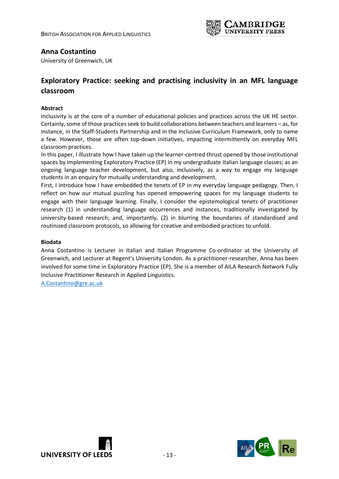

### **Anna Costantino**

University of Greenwich, UK

# **Exploratory Practice: seeking and practising inclusivity in an MFL language classroom**

### **Abstract**

Inclusivity is at the core of a number of educational policies and practices across the UK HE sector. Certainly, some of those practices seek to build collaborations between teachers and learners – as, for instance, in the Staff-Students Partnership and in the Inclusive Curriculum Framework, only to name a few. However, those are often top-down initiatives, impacting intermittently on everyday MFL classroom practices.

In this paper, I illustrate how I have taken up the learner-centred thrust opened by those institutional spaces by implementing Exploratory Practice (EP) in my undergraduate Italian language classes; as an ongoing language teacher development, but also, inclusively, as a way to engage my language students in an enquiry for mutually understanding and development.

First, I introduce how I have embedded the tenets of EP in my everyday language pedagogy. Then, I reflect on how our mutual puzzling has opened empowering spaces for my language students to engage with their language learning. Finally, I consider the epistemological tenets of practitioner research (1) in understanding language occurrences and instances, traditionally investigated by university-based research; and, importantly, (2) in blurring the boundaries of standardised and routinized classroom protocols, so allowing for creative and embodied practices to unfold.

#### **Biodata**

Anna Costantino is Lecturer in Italian and Italian Programme Co-ordinator at the University of Greenwich, and Lecturer at Regent's University London. As a practitioner-researcher, Anna has been involved for some time in Exploratory Practice (EP). She is a member of AILA Research Network Fully Inclusive Practitioner Research in Applied Linguistics.

[A.Costantino@gre.ac.uk](mailto:A.Costantino@gre.ac.uk)



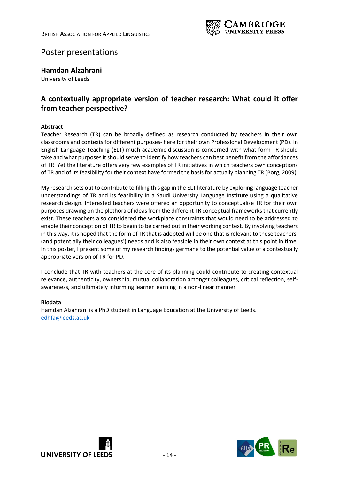

# Poster presentations

### **Hamdan Alzahrani**

University of Leeds

# **A contextually appropriate version of teacher research: What could it offer from teacher perspective?**

### **Abstract**

Teacher Research (TR) can be broadly defined as research conducted by teachers in their own classrooms and contexts for different purposes- here for their own Professional Development (PD). In English Language Teaching (ELT) much academic discussion is concerned with what form TR should take and what purposes it should serve to identify how teachers can best benefit from the affordances of TR. Yet the literature offers very few examples of TR initiatives in which teachers own conceptions of TR and of its feasibility for their context have formed the basis for actually planning TR (Borg, 2009).

My research sets out to contribute to filling this gap in the ELT literature by exploring language teacher understandings of TR and its feasibility in a Saudi University Language Institute using a qualitative research design. Interested teachers were offered an opportunity to conceptualise TR for their own purposes drawing on the plethora of ideas from the different TR conceptual frameworks that currently exist. These teachers also considered the workplace constraints that would need to be addressed to enable their conception of TR to begin to be carried out in their working context. By involving teachers in this way, it is hoped that the form of TR that is adopted will be one that is relevant to these teachers' (and potentially their colleagues') needs and is also feasible in their own context at this point in time. In this poster, I present some of my research findings germane to the potential value of a contextually appropriate version of TR for PD.

I conclude that TR with teachers at the core of its planning could contribute to creating contextual relevance, authenticity, ownership, mutual collaboration amongst colleagues, critical reflection, selfawareness, and ultimately informing learner learning in a non-linear manner

### **Biodata**

Hamdan Alzahrani is a PhD student in Language Education at the University of Leeds. [edhfa@leeds.ac.uk](mailto:edhfa@leeds.ac.uk)



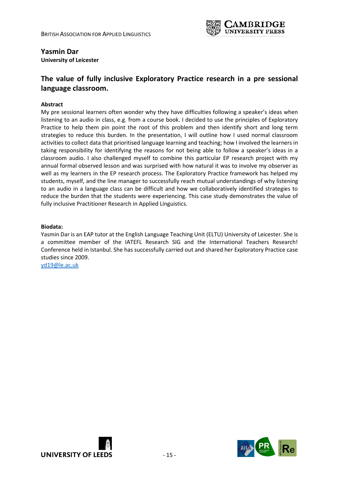

### **Yasmin Dar**

**University of Leicester**

# **The value of fully inclusive Exploratory Practice research in a pre sessional language classroom.**

### **Abstract**

My pre sessional learners often wonder why they have difficulties following a speaker's ideas when listening to an audio in class, e.g. from a course book. I decided to use the principles of Exploratory Practice to help them pin point the root of this problem and then identify short and long term strategies to reduce this burden. In the presentation, I will outline how I used normal classroom activities to collect data that prioritised language learning and teaching; how I involved the learners in taking responsibility for identifying the reasons for not being able to follow a speaker's ideas in a classroom audio. I also challenged myself to combine this particular EP research project with my annual formal observed lesson and was surprised with how natural it was to involve my observer as well as my learners in the EP research process. The Exploratory Practice framework has helped my students, myself, and the line manager to successfully reach mutual understandings of why listening to an audio in a language class can be difficult and how we collaboratively identified strategies to reduce the burden that the students were experiencing. This case study demonstrates the value of fully inclusive Practitioner Research in Applied Linguistics.

#### **Biodata:**

Yasmin Dar is an EAP tutor at the English Language Teaching Unit (ELTU) University of Leicester. She is a committee member of the IATEFL Research SIG and the International Teachers Research! Conference held in Istanbul. She has successfully carried out and shared her Exploratory Practice case studies since 2009.

[yd19@le.ac.uk](mailto:yd19@le.ac.uk)



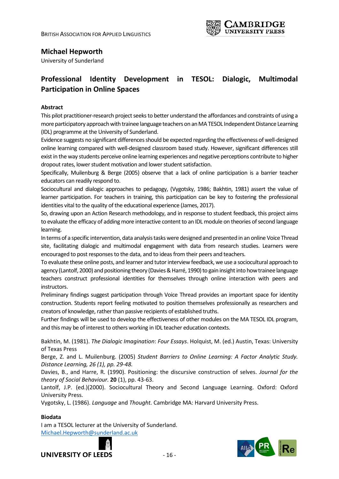

# **Michael Hepworth**

University of Sunderland

# **Professional Identity Development in TESOL: Dialogic, Multimodal Participation in Online Spaces**

### **Abstract**

This pilot practitioner-research project seeks to better understand the affordances and constraints of using a more participatory approach with trainee language teachers on an MA TESOL Independent Distance Learning (IDL) programme at the University of Sunderland.

Evidence suggests no significant differences should be expected regarding the effectiveness of well-designed online learning compared with well-designed classroom based study. However, significant differences still exist in the way students perceive online learning experiences and negative perceptions contribute to higher dropout rates, lower student motivation and lower student satisfaction.

Specifically, Muilenburg & Berge (2005) observe that a lack of online participation is a barrier teacher educators can readily respond to.

Sociocultural and dialogic approaches to pedagogy, (Vygotsky, 1986; Bakhtin, 1981) assert the value of learner participation. For teachers in training, this participation can be key to fostering the professional identities vital to the quality of the educational experience (James, 2017).

So, drawing upon an Action Research methodology, and in response to student feedback, this project aims to evaluate the efficacy of adding more interactive content to an IDL module on theories of second language learning.

In terms of a specific intervention, data analysis tasks were designed and presented in an online Voice Thread site, facilitating dialogic and multimodal engagement with data from research studies. Learners were encouraged to post responses to the data, and to ideas from their peers and teachers.

To evaluate these online posts, and learner and tutor interview feedback, we use a sociocultural approach to agency (Lantolf, 2000) and positioning theory (Davies & Harré, 1990) to gain insight into how trainee language teachers construct professional identities for themselves through online interaction with peers and instructors.

Preliminary findings suggest participation through Voice Thread provides an important space for identity construction. Students report feeling motivated to position themselves professionally as researchers and creators of knowledge, rather than passive recipients of established truths.

Further findings will be used to develop the effectiveness of other modules on the MA TESOL IDL program, and this may be of interest to others working in IDL teacher education contexts.

Bakhtin, M. (1981). *The Dialogic Imagination*: *Four Essays*. Holquist, M. (ed.) Austin, Texas: University of Texas Press

Berge, Z. and L. Muilenburg. (2005) *Student Barriers to Online Learning: A Factor Analytic Study. Distance Learning, 26 (1), pp. 29-48.*

Davies, B., and Harre, R. (1990). Positioning: the discursive construction of selves. *Journal for the theory of Social Behaviour.* **20** (1), pp. 43-63.

Lantolf, J.P. (ed.)(2000). Sociocultural Theory and Second Language Learning. Oxford: Oxford University Press.

Vygotsky, L. (1986). *Language* and *Thought.* Cambridge MA: Harvard University Press.

### **Biodata**

I am a TESOL lecturer at the University of Sunderland. [Michael.Hepworth@sunderland.ac.uk](mailto:Michael.Hepworth@sunderland.ac.uk)



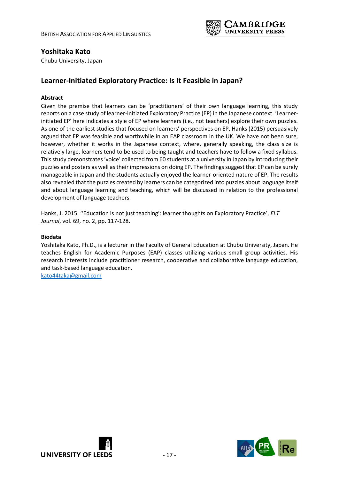

### **Yoshitaka Kato**

Chubu University, Japan

# **Learner-Initiated Exploratory Practice: Is It Feasible in Japan?**

### **Abstract**

Given the premise that learners can be 'practitioners' of their own language learning, this study reports on a case study of learner-initiated Exploratory Practice (EP) in the Japanese context. 'Learnerinitiated EP' here indicates a style of EP where learners (i.e., not teachers) explore their own puzzles. As one of the earliest studies that focused on learners' perspectives on EP, Hanks (2015) persuasively argued that EP was feasible and worthwhile in an EAP classroom in the UK. We have not been sure, however, whether it works in the Japanese context, where, generally speaking, the class size is relatively large, learners tend to be used to being taught and teachers have to follow a fixed syllabus. This study demonstrates 'voice' collected from 60 students at a university in Japan by introducing their puzzles and posters as well as their impressions on doing EP. The findings suggest that EP can be surely manageable in Japan and the students actually enjoyed the learner-oriented nature of EP. The results also revealed that the puzzles created by learners can be categorized into puzzles about language itself and about language learning and teaching, which will be discussed in relation to the professional development of language teachers.

Hanks, J. 2015. ''Education is not just teaching': learner thoughts on Exploratory Practice', *ELT Journal*, vol. 69, no. 2, pp. 117-128.

#### **Biodata**

Yoshitaka Kato, Ph.D., is a lecturer in the Faculty of General Education at Chubu University, Japan. He teaches English for Academic Purposes (EAP) classes utilizing various small group activities. His research interests include practitioner research, cooperative and collaborative language education, and task-based language education.

[kato44taka@gmail.com](mailto:kato44taka@gmail.com)



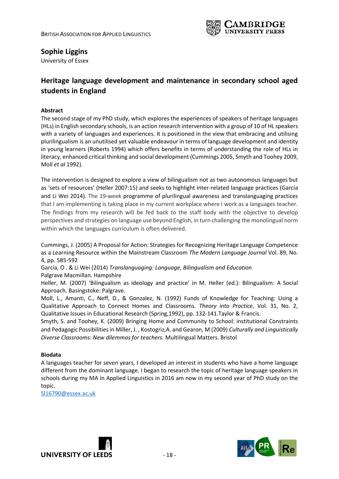

# **Sophie Liggins**

University of Essex

# **Heritage language development and maintenance in secondary school aged students in England**

### **Abstract**

The second stage of my PhD study, which explores the experiences of speakers of heritage languages (HLs) in English secondary schools, is an action research intervention with a group of 10 of HL speakers with a variety of languages and experiences. It is positioned in the view that embracing and utilising plurilingualism is an unutilised yet valuable endeavour in terms of language development and identity in young learners (Roberts 1994) which offers benefits in terms of understanding the role of HLs in literacy, enhanced critical thinking and social development (Cummings 2005, Smyth and Toohey 2009, Moll *et al* 1992).

The intervention is designed to explore a view of bilingualism not as two autonomous languages but as 'sets of resources' (Heller 2007:15) and seeks to highlight inter-related language practices (García and Li Wei 2014). The 19-week programme of plurilingual awareness and translanguaging practices that I am implementing is taking place in my current workplace where I work as a languages teacher. The findings from my research will be fed back to the staff body with the objective to develop perspectives and strategies on language use beyond English, in turn challenging the monolingual norm within which the languages curriculum is often delivered.

Cummings, J. (2005) A Proposal for Action: Strategies for Recognizing Heritage Language Competence as a Learning Resource within the Mainstream Classroom *The Modern Language Journal* Vol. 89, No. 4, pp. 585-592

García, O . & Li Wei (2014) *Translanguaging: Language, Bilingualism and Education* Palgrave Macmillan. Hampshire

Heller, M. (2007) 'Bilingualism as ideology and practice' in M. Heller (ed.): Bilingualism: A Social Approach. Basingstoke: Palgrave.

Moll, L., Amanti, C., Neff, D., & Gonzalez, N. (1992) Funds of Knowledge for Teaching: Using a Qualitative Approach to Connect Homes and Classrooms. *Theory into Practice*, Vol. 31, No. 2, Qualitative Issues in Educational Research (Spring,1992), pp. 132-141.Taylor & Francis.

Smyth, S. and Toohey, K. (2009) Bringing Home and Community to School: institutional Constraints and Pedagogic Possibilities in Miller, J. , Kostogriz,A. and Gearon, M (2009) *Culturally and Linguistically Diverse Classrooms: New dilemmas for teachers.* Multilingual Matters. Bristol

### **Biodata**

A languages teacher for seven years, I developed an interest in students who have a home language different from the dominant language. I began to research the topic of heritage language speakers in schools during my MA in Applied Linguistics in 2016 am now in my second year of PhD study on the topic.

[Sl16790@essex.ac.uk](mailto:Sl16790@essex.ac.uk)



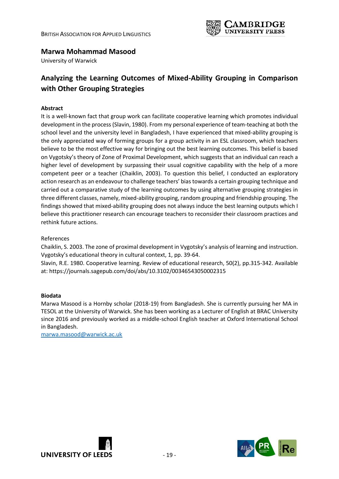

# **Marwa Mohammad Masood**

University of Warwick

# **Analyzing the Learning Outcomes of Mixed-Ability Grouping in Comparison with Other Grouping Strategies**

### **Abstract**

It is a well-known fact that group work can facilitate cooperative learning which promotes individual development in the process (Slavin, 1980). From my personal experience of team-teaching at both the school level and the university level in Bangladesh, I have experienced that mixed-ability grouping is the only appreciated way of forming groups for a group activity in an ESL classroom, which teachers believe to be the most effective way for bringing out the best learning outcomes. This belief is based on Vygotsky's theory of Zone of Proximal Development, which suggests that an individual can reach a higher level of development by surpassing their usual cognitive capability with the help of a more competent peer or a teacher (Chaiklin, 2003). To question this belief, I conducted an exploratory action research as an endeavour to challenge teachers' bias towards a certain grouping technique and carried out a comparative study of the learning outcomes by using alternative grouping strategies in three different classes, namely, mixed-ability grouping, random grouping and friendship grouping. The findings showed that mixed-ability grouping does not always induce the best learning outputs which I believe this practitioner research can encourage teachers to reconsider their classroom practices and rethink future actions.

References

Chaiklin, S. 2003. The zone of proximal development in Vygotsky's analysis of learning and instruction. Vygotsky's educational theory in cultural context, 1, pp. 39-64.

Slavin, R.E. 1980. Cooperative learning. Review of educational research, 50(2), pp.315-342. Available at: https://journals.sagepub.com/doi/abs/10.3102/00346543050002315

### **Biodata**

Marwa Masood is a Hornby scholar (2018-19) from Bangladesh. She is currently pursuing her MA in TESOL at the University of Warwick. She has been working as a Lecturer of English at BRAC University since 2016 and previously worked as a middle-school English teacher at Oxford International School in Bangladesh.

[marwa.masood@warwick.ac.uk](mailto:marwa.masood@warwick.ac.uk)



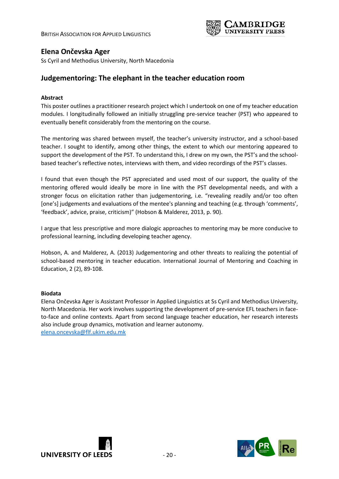

## **Elena Ončevska Ager**

Ss Cyril and Methodius University, North Macedonia

### **Judgementoring: The elephant in the teacher education room**

#### **Abstract**

This poster outlines a practitioner research project which I undertook on one of my teacher education modules. I longitudinally followed an initially struggling pre-service teacher (PST) who appeared to eventually benefit considerably from the mentoring on the course.

The mentoring was shared between myself, the teacher's university instructor, and a school-based teacher. I sought to identify, among other things, the extent to which our mentoring appeared to support the development of the PST. To understand this, I drew on my own, the PST's and the schoolbased teacher's reflective notes, interviews with them, and video recordings of the PST's classes.

I found that even though the PST appreciated and used most of our support, the quality of the mentoring offered would ideally be more in line with the PST developmental needs, and with a stronger focus on elicitation rather than judgementoring, i.e. "revealing readily and/or too often [one's] judgements and evaluations of the mentee's planning and teaching (e.g. through 'comments', 'feedback', advice, praise, criticism)" (Hobson & Malderez, 2013, p. 90).

I argue that less prescriptive and more dialogic approaches to mentoring may be more conducive to professional learning, including developing teacher agency.

Hobson, A. and Malderez, A. (2013) Judgementoring and other threats to realizing the potential of school-based mentoring in teacher education. International Journal of Mentoring and Coaching in Education, 2 (2), 89-108.

#### **Biodata**

Elena Ončevska Ager is Assistant Professor in Applied Linguistics at Ss Cyril and Methodius University, North Macedonia. Her work involves supporting the development of pre-service EFL teachers in faceto-face and online contexts. Apart from second language teacher education, her research interests also include group dynamics, motivation and learner autonomy. [elena.oncevska@flf.ukim.edu.mk](mailto:elena.oncevska@flf.ukim.edu.mk)